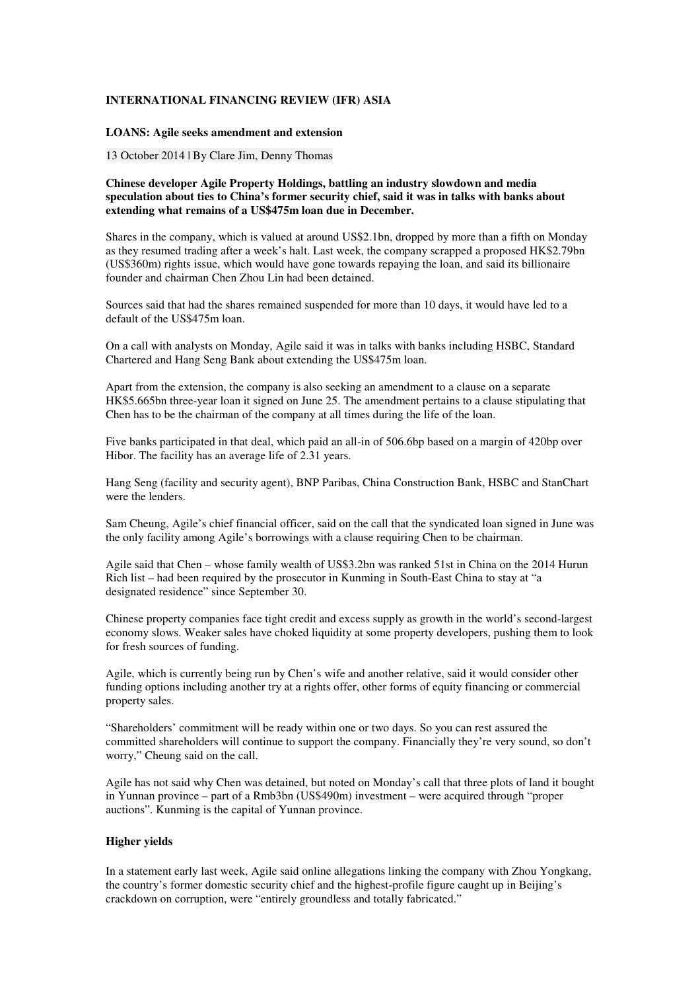## **INTERNATIONAL FINANCING REVIEW (IFR) ASIA**

## **LOANS: Agile seeks amendment and extension**

13 October 2014 | By Clare Jim, Denny Thomas

## **Chinese developer Agile Property Holdings, battling an industry slowdown and media speculation about ties to China's former security chief, said it was in talks with banks about extending what remains of a US\$475m loan due in December.**

Shares in the company, which is valued at around US\$2.1bn, dropped by more than a fifth on Monday as they resumed trading after a week's halt. Last week, the company scrapped a proposed HK\$2.79bn (US\$360m) rights issue, which would have gone towards repaying the loan, and said its billionaire founder and chairman Chen Zhou Lin had been detained.

Sources said that had the shares remained suspended for more than 10 days, it would have led to a default of the US\$475m loan.

On a call with analysts on Monday, Agile said it was in talks with banks including HSBC, Standard Chartered and Hang Seng Bank about extending the US\$475m loan.

Apart from the extension, the company is also seeking an amendment to a clause on a separate HK\$5.665bn three-year loan it signed on June 25. The amendment pertains to a clause stipulating that Chen has to be the chairman of the company at all times during the life of the loan.

Five banks participated in that deal, which paid an all-in of 506.6bp based on a margin of 420bp over Hibor. The facility has an average life of 2.31 years.

Hang Seng (facility and security agent), BNP Paribas, China Construction Bank, HSBC and StanChart were the lenders.

Sam Cheung, Agile's chief financial officer, said on the call that the syndicated loan signed in June was the only facility among Agile's borrowings with a clause requiring Chen to be chairman.

Agile said that Chen – whose family wealth of US\$3.2bn was ranked 51st in China on the 2014 Hurun Rich list – had been required by the prosecutor in Kunming in South-East China to stay at "a designated residence" since September 30.

Chinese property companies face tight credit and excess supply as growth in the world's second-largest economy slows. Weaker sales have choked liquidity at some property developers, pushing them to look for fresh sources of funding.

Agile, which is currently being run by Chen's wife and another relative, said it would consider other funding options including another try at a rights offer, other forms of equity financing or commercial property sales.

"Shareholders' commitment will be ready within one or two days. So you can rest assured the committed shareholders will continue to support the company. Financially they're very sound, so don't worry," Cheung said on the call.

Agile has not said why Chen was detained, but noted on Monday's call that three plots of land it bought in Yunnan province – part of a Rmb3bn (US\$490m) investment – were acquired through "proper auctions". Kunming is the capital of Yunnan province.

## **Higher yields**

In a statement early last week, Agile said online allegations linking the company with Zhou Yongkang, the country's former domestic security chief and the highest-profile figure caught up in Beijing's crackdown on corruption, were "entirely groundless and totally fabricated."